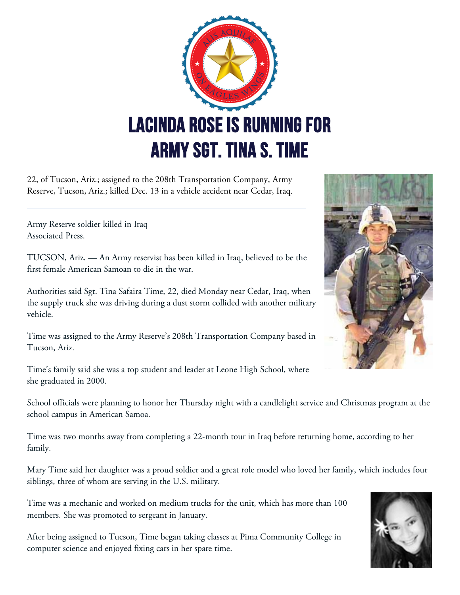

22, of Tucson, Ariz.; assigned to the 208th Transportation Company, Army Reserve, Tucson, Ariz.; killed Dec. 13 in a vehicle accident near Cedar, Iraq.

Army Reserve soldier killed in Iraq Associated Press.

TUCSON, Ariz. — An Army reservist has been killed in Iraq, believed to be the first female American Samoan to die in the war.

Authorities said Sgt. Tina Safaira Time, 22, died Monday near Cedar, Iraq, when the supply truck she was driving during a dust storm collided with another military vehicle.

Time was assigned to the Army Reserve's 208th Transportation Company based in Tucson, Ariz.

Time's family said she was a top student and leader at Leone High School, where she graduated in 2000.

School officials were planning to honor her Thursday night with a candlelight service and Christmas program at the school campus in American Samoa.

Time was two months away from completing a 22-month tour in Iraq before returning home, according to her family.

Mary Time said her daughter was a proud soldier and a great role model who loved her family, which includes four siblings, three of whom are serving in the U.S. military.

Time was a mechanic and worked on medium trucks for the unit, which has more than 100 members. She was promoted to sergeant in January.

After being assigned to Tucson, Time began taking classes at Pima Community College in computer science and enjoyed fixing cars in her spare time.